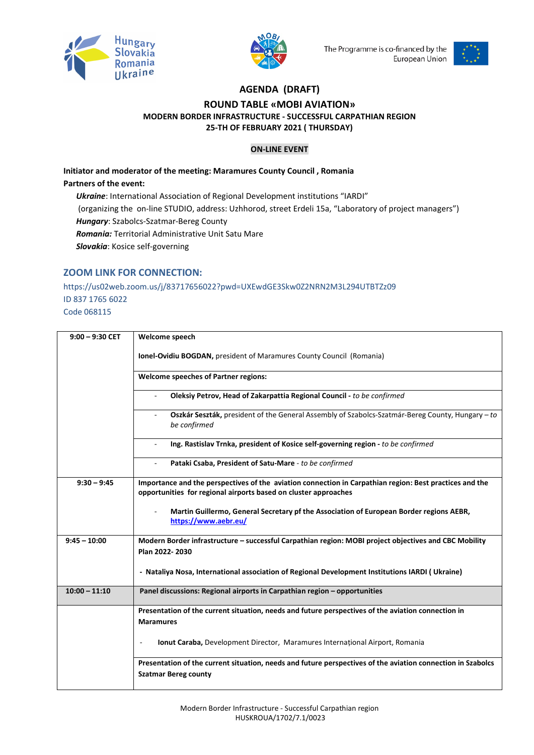



The Programme is co-financed by the European Union



## **AGENDA (DRAFT) ROUND TABLE «MOBI AVIATION» MODERN BORDER INFRASTRUCTURE - SUCCESSFUL CARPATHIAN REGION 25-TH OF FEBRUARY 2021 ( THURSDAY)**

## **ON-LINE EVENT**

**Initiator and moderator of the meeting: Maramures County Council , Romania Partners of the event:**  *Ukraine*: International Association of Regional Development institutions "IARDI" (organizing the on-line STUDIO, address: Uzhhorod, street Erdeli 15a, "Laboratory of project managers") *Hungary*: Szabolcs-Szatmar-Bereg County

*Romania:* Territorial Administrative Unit Satu Mare

*Slovakia*: Kosice self-governing

## **ZOOM LINK FOR CONNECTION:**

https://us02web.zoom.us/j/83717656022?pwd=UXEwdGE3Skw0Z2NRN2M3L294UTBTZz09 ID 837 1765 6022 Code 068115

| $9:00 - 9:30$ CET | Welcome speech                                                                                                                                                             |
|-------------------|----------------------------------------------------------------------------------------------------------------------------------------------------------------------------|
|                   | Ionel-Ovidiu BOGDAN, president of Maramures County Council (Romania)                                                                                                       |
|                   | <b>Welcome speeches of Partner regions:</b>                                                                                                                                |
|                   | Oleksiy Petrov, Head of Zakarpattia Regional Council - to be confirmed<br>$\bar{a}$                                                                                        |
|                   | Oszkár Seszták, president of the General Assembly of Szabolcs-Szatmár-Bereg County, Hungary - to<br>be confirmed                                                           |
|                   | Ing. Rastislav Trnka, president of Kosice self-governing region - to be confirmed<br>$\overline{\phantom{a}}$                                                              |
|                   | Pataki Csaba, President of Satu-Mare - to be confirmed                                                                                                                     |
| $9:30 - 9:45$     | Importance and the perspectives of the aviation connection in Carpathian region: Best practices and the<br>opportunities for regional airports based on cluster approaches |
|                   | Martin Guillermo, General Secretary pf the Association of European Border regions AEBR,<br>https://www.aebr.eu/                                                            |
| $9:45 - 10:00$    | Modern Border infrastructure - successful Carpathian region: MOBI project objectives and CBC Mobility<br>Plan 2022-2030                                                    |
|                   | - Nataliya Nosa, International association of Regional Development Institutions IARDI (Ukraine)                                                                            |
| $10:00 - 11:10$   | Panel discussions: Regional airports in Carpathian region - opportunities                                                                                                  |
|                   | Presentation of the current situation, needs and future perspectives of the aviation connection in                                                                         |
|                   | <b>Maramures</b>                                                                                                                                                           |
|                   | Ionut Caraba, Development Director, Maramures Internațional Airport, Romania                                                                                               |
|                   | Presentation of the current situation, needs and future perspectives of the aviation connection in Szabolcs<br><b>Szatmar Bereg county</b>                                 |